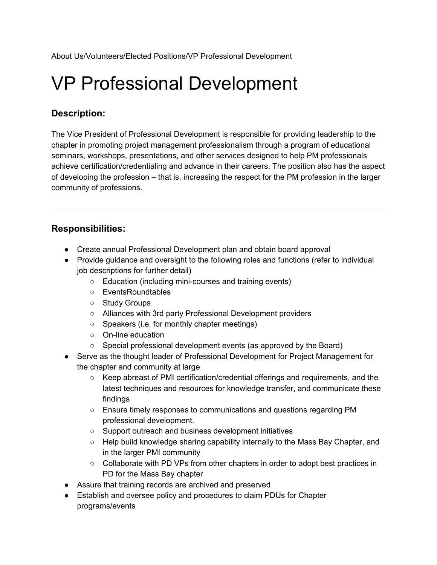About Us/Volunteers/Elected Positions/VP Professional Development

# VP Professional Development

## **Description:**

The Vice President of Professional Development is responsible for providing leadership to the chapter in promoting project management professionalism through a program of educational seminars, workshops, presentations, and other services designed to help PM professionals achieve certification/credentialing and advance in their careers. The position also has the aspect of developing the profession – that is, increasing the respect for the PM profession in the larger community of professions.

## **Responsibilities:**

- Create annual Professional Development plan and obtain board approval
- Provide guidance and oversight to the following roles and functions (refer to individual job descriptions for further detail)
	- Education (including mini-courses and training events)
	- EventsRoundtables
	- Study Groups
	- Alliances with 3rd party Professional Development providers
	- Speakers (i.e. for monthly chapter meetings)
	- On-line education
	- Special professional development events (as approved by the Board)
- Serve as the thought leader of Professional Development for Project Management for the chapter and community at large
	- Keep abreast of PMI certification/credential offerings and requirements, and the latest techniques and resources for knowledge transfer, and communicate these findings
	- Ensure timely responses to communications and questions regarding PM professional development.
	- Support outreach and business development initiatives
	- Help build knowledge sharing capability internally to the Mass Bay Chapter, and in the larger PMI community
	- Collaborate with PD VPs from other chapters in order to adopt best practices in PD for the Mass Bay chapter
- Assure that training records are archived and preserved
- Establish and oversee policy and procedures to claim PDUs for Chapter programs/events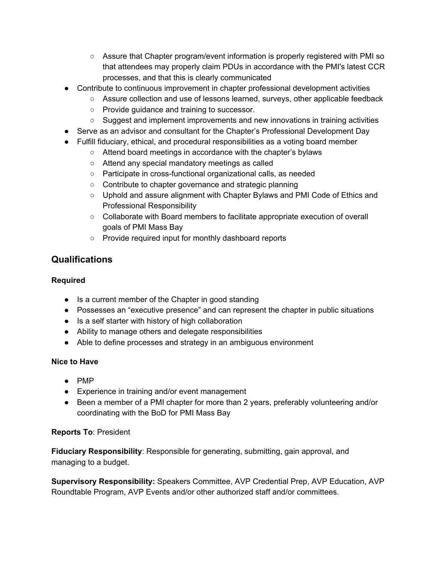- Assure that Chapter program/event information is properly registered with PMI so that attendees may properly claim PDUs in accordance with the PMI's latest CCR processes, and that this is clearly communicated
- Contribute to continuous improvement in chapter professional development activities
	- Assure collection and use of lessons learned, surveys, other applicable feedback
	- Provide guidance and training to successor.
	- $\circ$  Suggest and implement improvements and new innovations in training activities
- Serve as an advisor and consultant for the Chapter's Professional Development Day
- Fulfill fiduciary, ethical, and procedural responsibilities as a voting board member
	- Attend board meetings in accordance with the chapter's bylaws
	- Attend any special mandatory meetings as called
	- Participate in cross-functional organizational calls, as needed
	- Contribute to chapter governance and strategic planning
	- Uphold and assure alignment with Chapter Bylaws and PMI Code of Ethics and Professional Responsibility
	- Collaborate with Board members to facilitate appropriate execution of overall goals of PMI Mass Bay
	- Provide required input for monthly dashboard reports

## **Qualifications**

#### **Required**

- Is a current member of the Chapter in good standing
- Possesses an "executive presence" and can represent the chapter in public situations
- Is a self starter with history of high collaboration
- Ability to manage others and delegate responsibilities
- Able to define processes and strategy in an ambiguous environment

### **Nice to Have**

- PMP
- Experience in training and/or event management
- Been a member of a PMI chapter for more than 2 years, preferably volunteering and/or coordinating with the BoD for PMI Mass Bay

### **Reports To**: President

**Fiduciary Responsibility**: Responsible for generating, submitting, gain approval, and managing to a budget.

**Supervisory Responsibility:** Speakers Committee, AVP Credential Prep, AVP Education, AVP Roundtable Program, AVP Events and/or other authorized staff and/or committees.